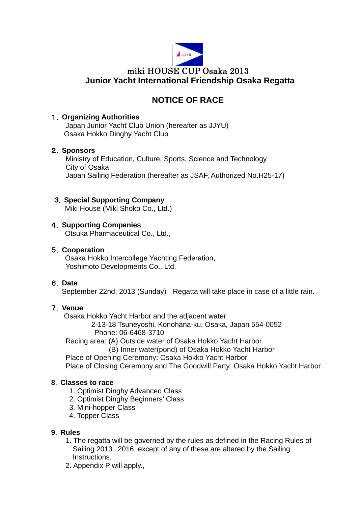

# **NOTICE OF RACE**

# 1.**Organizing Authorities**

Japan Junior Yacht Club Union (hereafter as JJYU) Osaka Hokko Dinghy Yacht Club

# 2.**Sponsors**

Ministry of Education, Culture, Sports, Science and Technology City of Osaka Japan Sailing Federation (hereafter as JSAF, Authorized No.H25-17)

# **3**.**Special Supporting Company**

Miki House (Miki Shoko Co., Ltd.)

# 4.**Supporting Companies**

Otsuka Pharmaceutical Co., Ltd.,

# 5.**Cooperation**

Osaka Hokko Intercollege Yachting Federation, Yoshimoto Developments Co., Ltd.

# 6.**Date**

September 22nd, 2013 (Sunday) Regatta will take place in case of a little rain.

# 7.**Venue**

Osaka Hokko Yacht Harbor and the adjacent water

2-13-18 Tsuneyoshi, Konohana-ku, Osaka, Japan 554-0052 Phone: 06-6468-3710

Racing area: (A) Outside water of Osaka Hokko Yacht Harbor

(B) Inner water(pond) of Osaka Hokko Yacht Harbor

Place of Opening Ceremony: Osaka Hokko Yacht Harbor

Place of Closing Ceremony and The Goodwill Party: Osaka Hokko Yacht Harbor

#### **8**.**Classes to race**

- 1. Optimist Dinghy Advanced Class
- 2. Optimist Dinghy Beginners' Class
- 3. Mini-hopper Class
- 4. Topper Class

#### **9**.**Rules**

- 1. The regatta will be governed by the rules as defined in the Racing Rules of Sailing 2013 2016, except of any of these are altered by the Sailing Instructions.
- 2. Appendix P will apply.,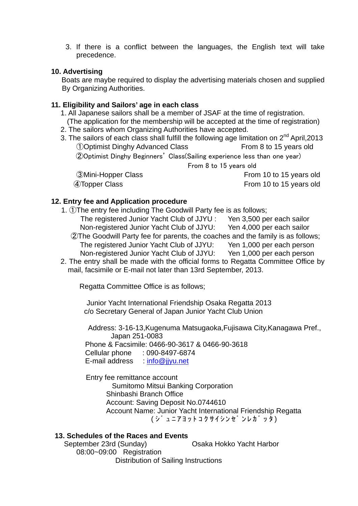3. If there is a conflict between the languages, the English text will take precedence.

# **10. Advertising**

Boats are maybe required to display the advertising materials chosen and supplied By Organizing Authorities.

# **11. Eligibility and Sailors' age in each class**

- 1. All Japanese sailors shall be a member of JSAF at the time of registration.
- (The application for the membership will be accepted at the time of registration)
- 2. The sailors whom Organizing Authorities have accepted.
- 3. The sailors of each class shall fulfill the following age limitation on  $2^{nd}$  April, 2013 ①Optimist Dinghy Advanced Class From 8 to 15 years old ②Optimist Dinghy Beginners' Class(Sailing experience less than one year) From 8 to 15 years old 3Mini-Hopper Class Gastro Class From 10 to 15 years old

④Topper Class From 10 to 15 years old

# **12. Entry fee and Application procedure**

- 1. ①The entry fee including The Goodwill Party fee is as follows;
	- The registered Junior Yacht Club of JJYU : Yen 3,500 per each sailor Non-registered Junior Yacht Club of JJYU: Yen 4,000 per each sailor ②The Goodwill Party fee for parents, the coaches and the family is as follows; The registered Junior Yacht Club of JJYU: Yen 1,000 per each person
	- Non-registered Junior Yacht Club of JJYU: Yen 1,000 per each person
- 2. The entry shall be made with the official forms to Regatta Committee Office by mail, facsimile or E-mail not later than 13rd September, 2013.

Regatta Committee Office is as follows;

Junior Yacht International Friendship Osaka Regatta 2013 c/o Secretary General of Japan Junior Yacht Club Union

Address: 3-16-13,Kugenuma Matsugaoka,Fujisawa City,Kanagawa Pref., Japan 251-0083 Phone & Facsimile: 0466-90-3617 & 0466-90-3618 Cellular phone : 090-8497-6874

E-mail address : [info@jjyu.net](mailto:info@jjyu.net)

**Entry fee remittance account**  Sumitomo Mitsui Banking Corporation Shinbashi Branch Office Account: Saving Deposit No.0744610 Account Name: Junior Yacht International Friendship Regatta ( シ゛ュニアヨットコクサイシンセ゛ンレカ゛ッタ)

#### **13. Schedules of the Races and Events**

September 23rd (Sunday) **Casa Hokko Yacht Harbor** 08:00~09:00 Registration Distribution of Sailing Instructions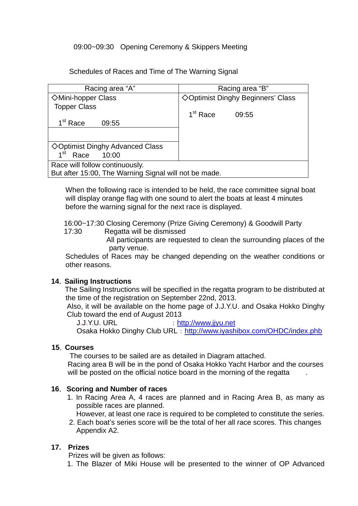# 09:00~09:30 Opening Ceremony & Skippers Meeting

#### Schedules of Races and Time of The Warning Signal

| Racing area "A"                                       | Racing area "B"                    |
|-------------------------------------------------------|------------------------------------|
| <b>◇Mini-hopper Class</b>                             | ◇ Optimist Dinghy Beginners' Class |
| <b>Topper Class</b>                                   |                                    |
|                                                       | 1 <sup>st</sup> Race<br>09:55      |
| 1 <sup>st</sup> Race<br>09:55                         |                                    |
|                                                       |                                    |
|                                                       |                                    |
| <b>◇Optimist Dinghy Advanced Class</b>                |                                    |
| 10:00<br>1 <sup>st</sup><br>Race                      |                                    |
| Race will follow continuously.                        |                                    |
| But after 15:00, The Warning Signal will not be made. |                                    |

When the following race is intended to be held, the race committee signal boat will display orange flag with one sound to alert the boats at least 4 minutes before the warning signal for the next race is displayed.

 16:00~17:30 Closing Ceremony (Prize Giving Ceremony) & Goodwill Party 17:30 Regatta will be dismissed

All participants are requested to clean the surrounding places of the party venue.

Schedules of Races may be changed depending on the weather conditions or other reasons.

#### **14**.**Sailing Instructions**

The Sailing Instructions will be specified in the regatta program to be distributed at the time of the registration on September 22nd, 2013.

Also, it will be available on the home page of J.J.Y.U. and Osaka Hokko Dinghy Club toward the end of August 2013

J.J.Y.U. URL : [http://www.jjyu.net](http://www.jjyu.net/)

Osaka Hokko Dinghy Club URL : <http://www.iyashibox.com/OHDC/index.phb>

#### **15**.**Courses**

The courses to be sailed are as detailed in Diagram attached.

 Racing area B will be in the pond of Osaka Hokko Yacht Harbor and the courses will be posted on the official notice board in the morning of the regatta

#### **16**. **Scoring and Number of races**

 1. In Racing Area A, 4 races are planned and in Racing Area B, as many as possible races are planned.

However, at least one race is required to be completed to constitute the series.

2. Each boat's series score will be the total of her all race scores. This changes Appendix A2.

# **17. Prizes**

Prizes will be given as follows:

1. The Blazer of Miki House will be presented to the winner of OP Advanced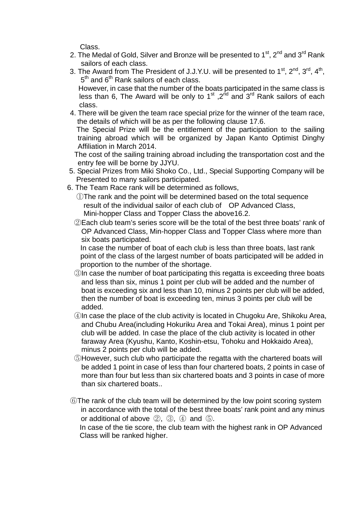Class.

- 2. The Medal of Gold, Silver and Bronze will be presented to  $1<sup>st</sup>$ ,  $2<sup>nd</sup>$  and  $3<sup>rd</sup>$  Rank sailors of each class.
- 3. The Award from The President of J.J.Y.U. will be presented to  $1^{st}$ ,  $2^{nd}$ ,  $3^{rd}$ ,  $4^{th}$ ,  $5<sup>th</sup>$  and  $6<sup>th</sup>$  Rank sailors of each class. However, in case that the number of the boats participated in the same class is

less than 6, The Award will be only to  $1<sup>st</sup>$ ,  $2<sup>nd</sup>$  and  $3<sup>rd</sup>$  Rank sailors of each class.

4. There will be given the team race special prize for the winner of the team race, the details of which will be as per the following clause 17.6.

 The Special Prize will be the entitlement of the participation to the sailing training abroad which will be organized by Japan Kanto Optimist Dinghy Affiliation in March 2014.

 The cost of the sailing training abroad including the transportation cost and the entry fee will be borne by JJYU.

- 5. Special Prizes from Miki Shoko Co., Ltd., Special Supporting Company will be Presented to many sailors participated.
- 6. The Team Race rank will be determined as follows,

①The rank and the point will be determined based on the total sequence result of the individual sailor of each club of OP Advanced Class, Mini-hopper Class and Topper Class the above16.2.

②Each club team's series score will be the total of the best three boats' rank of OP Advanced Class, Min-hopper Class and Topper Class where more than six boats participated.

In case the number of boat of each club is less than three boats, last rank point of the class of the largest number of boats participated will be added in proportion to the number of the shortage.

- ③In case the number of boat participating this regatta is exceeding three boats and less than six, minus 1 point per club will be added and the number of boat is exceeding six and less than 10, minus 2 points per club will be added, then the number of boat is exceeding ten, minus 3 points per club will be added.
- ④In case the place of the club activity is located in Chugoku Are, Shikoku Area, and Chubu Area(including Hokuriku Area and Tokai Area), minus 1 point per club will be added. In case the place of the club activity is located in other faraway Area (Kyushu, Kanto, Koshin-etsu, Tohoku and Hokkaido Area), minus 2 points per club will be added.
- ⑤However, such club who participate the regatta with the chartered boats will be added 1 point in case of less than four chartered boats, 2 points in case of more than four but less than six chartered boats and 3 points in case of more than six chartered boats..
- ⑥The rank of the club team will be determined by the low point scoring system in accordance with the total of the best three boats' rank point and any minus or additional of above ②, ③, ④ and ⑤.

In case of the tie score, the club team with the highest rank in OP Advanced Class will be ranked higher.